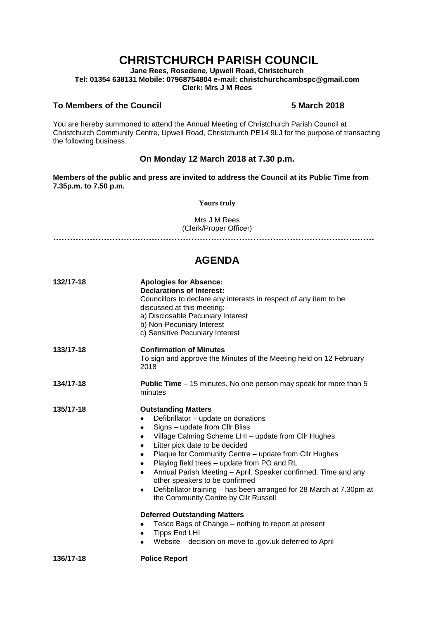# **CHRISTCHURCH PARISH COUNCIL**

**Jane Rees, Rosedene, Upwell Road, Christchurch Tel: 01354 638131 Mobile: 07968754804 e-mail: christchurchcambspc@gmail.com Clerk: Mrs J M Rees**

#### **To Members of the Council 5 March 2018**

You are hereby summoned to attend the Annual Meeting of Christchurch Parish Council at Christchurch Community Centre, Upwell Road, Christchurch PE14 9LJ for the purpose of transacting the following business.

### **On Monday 12 March 2018 at 7.30 p.m.**

**Members of the public and press are invited to address the Council at its Public Time from 7.35p.m. to 7.50 p.m.** 

**Yours truly**

Mrs J M Rees (Clerk/Proper Officer)

**……………………………………………………………………………………………………**

## **AGENDA**

| 132/17-18 | <b>Apologies for Absence:</b><br><b>Declarations of Interest:</b><br>Councillors to declare any interests in respect of any item to be<br>discussed at this meeting:-<br>a) Disclosable Pecuniary Interest<br>b) Non-Pecuniary Interest<br>c) Sensitive Pecuniary Interest                                                                                                                                                                                                                                                                                                                                                                                                            |
|-----------|---------------------------------------------------------------------------------------------------------------------------------------------------------------------------------------------------------------------------------------------------------------------------------------------------------------------------------------------------------------------------------------------------------------------------------------------------------------------------------------------------------------------------------------------------------------------------------------------------------------------------------------------------------------------------------------|
| 133/17-18 | <b>Confirmation of Minutes</b><br>To sign and approve the Minutes of the Meeting held on 12 February<br>2018                                                                                                                                                                                                                                                                                                                                                                                                                                                                                                                                                                          |
| 134/17-18 | <b>Public Time</b> – 15 minutes. No one person may speak for more than 5<br>minutes                                                                                                                                                                                                                                                                                                                                                                                                                                                                                                                                                                                                   |
| 135/17-18 | <b>Outstanding Matters</b><br>Defibrillator - update on donations<br>Signs - update from Cllr Bliss<br>٠<br>Village Calming Scheme LHI - update from Cllr Hughes<br>Litter pick date to be decided<br>٠<br>Plaque for Community Centre - update from Cllr Hughes<br>٠<br>Playing field trees - update from PO and RL<br>٠<br>Annual Parish Meeting - April. Speaker confirmed. Time and any<br>٠<br>other speakers to be confirmed<br>Defibrillator training - has been arranged for 28 March at 7.30pm at<br>$\bullet$<br>the Community Centre by Cllr Russell<br><b>Deferred Outstanding Matters</b><br>Tesco Bags of Change - nothing to report at present<br><b>Tipps End LHI</b> |
| 136/17-18 | Website – decision on move to .gov.uk deferred to April<br><b>Police Report</b>                                                                                                                                                                                                                                                                                                                                                                                                                                                                                                                                                                                                       |
|           |                                                                                                                                                                                                                                                                                                                                                                                                                                                                                                                                                                                                                                                                                       |